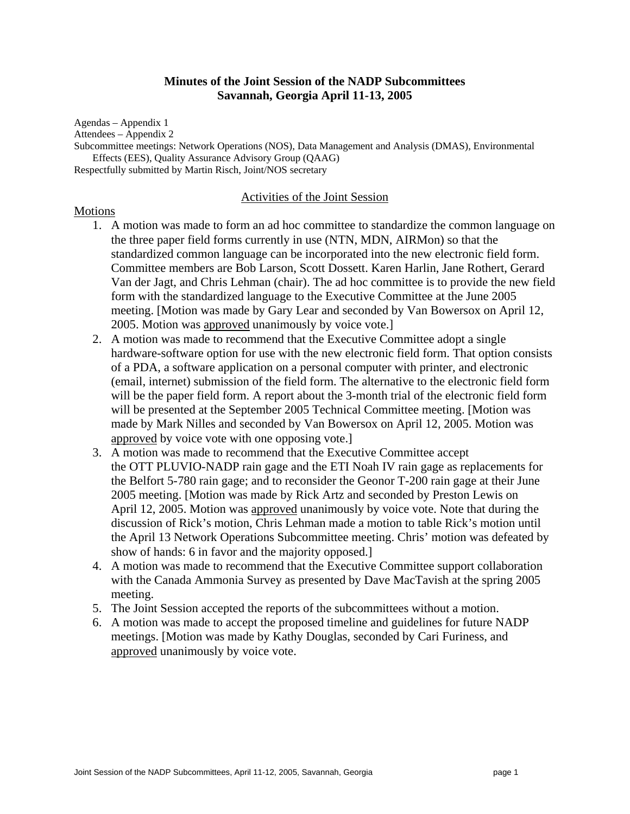### **Minutes of the Joint Session of the NADP Subcommittees Savannah, Georgia April 11-13, 2005**

Agendas – Appendix 1 Attendees – Appendix 2

Subcommittee meetings: Network Operations (NOS), Data Management and Analysis (DMAS), Environmental Effects (EES), Quality Assurance Advisory Group (QAAG)

Respectfully submitted by Martin Risch, Joint/NOS secretary

#### Activities of the Joint Session

#### **Motions**

- 1. A motion was made to form an ad hoc committee to standardize the common language on the three paper field forms currently in use (NTN, MDN, AIRMon) so that the standardized common language can be incorporated into the new electronic field form. Committee members are Bob Larson, Scott Dossett. Karen Harlin, Jane Rothert, Gerard Van der Jagt, and Chris Lehman (chair). The ad hoc committee is to provide the new field form with the standardized language to the Executive Committee at the June 2005 meeting. [Motion was made by Gary Lear and seconded by Van Bowersox on April 12, 2005. Motion was approved unanimously by voice vote.]
- 2. A motion was made to recommend that the Executive Committee adopt a single hardware-software option for use with the new electronic field form. That option consists of a PDA, a software application on a personal computer with printer, and electronic (email, internet) submission of the field form. The alternative to the electronic field form will be the paper field form. A report about the 3-month trial of the electronic field form will be presented at the September 2005 Technical Committee meeting. [Motion was made by Mark Nilles and seconded by Van Bowersox on April 12, 2005. Motion was approved by voice vote with one opposing vote.]
- 3. A motion was made to recommend that the Executive Committee accept the OTT PLUVIO-NADP rain gage and the ETI Noah IV rain gage as replacements for the Belfort 5-780 rain gage; and to reconsider the Geonor T-200 rain gage at their June 2005 meeting. [Motion was made by Rick Artz and seconded by Preston Lewis on April 12, 2005. Motion was approved unanimously by voice vote. Note that during the discussion of Rick's motion, Chris Lehman made a motion to table Rick's motion until the April 13 Network Operations Subcommittee meeting. Chris' motion was defeated by show of hands: 6 in favor and the majority opposed.]
- 4. A motion was made to recommend that the Executive Committee support collaboration with the Canada Ammonia Survey as presented by Dave MacTavish at the spring 2005 meeting.
- 5. The Joint Session accepted the reports of the subcommittees without a motion.
- 6. A motion was made to accept the proposed timeline and guidelines for future NADP meetings. [Motion was made by Kathy Douglas, seconded by Cari Furiness, and approved unanimously by voice vote.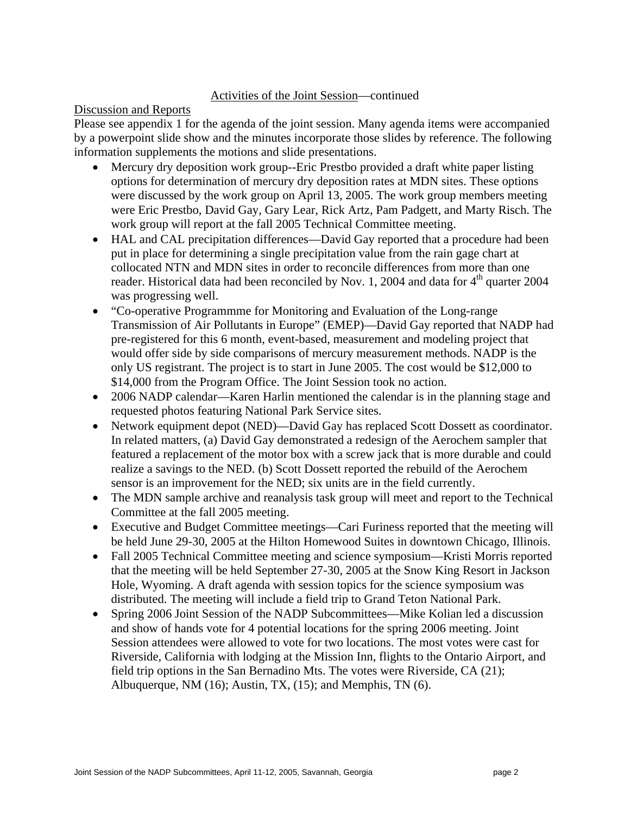# Activities of the Joint Session—continued

# Discussion and Reports

Please see appendix 1 for the agenda of the joint session. Many agenda items were accompanied by a powerpoint slide show and the minutes incorporate those slides by reference. The following information supplements the motions and slide presentations.

- Mercury dry deposition work group--Eric Prestbo provided a draft white paper listing options for determination of mercury dry deposition rates at MDN sites. These options were discussed by the work group on April 13, 2005. The work group members meeting were Eric Prestbo, David Gay, Gary Lear, Rick Artz, Pam Padgett, and Marty Risch. The work group will report at the fall 2005 Technical Committee meeting.
- HAL and CAL precipitation differences—David Gay reported that a procedure had been put in place for determining a single precipitation value from the rain gage chart at collocated NTN and MDN sites in order to reconcile differences from more than one reader. Historical data had been reconciled by Nov. 1, 2004 and data for  $4<sup>th</sup>$  quarter 2004 was progressing well.
- "Co-operative Programmme for Monitoring and Evaluation of the Long-range Transmission of Air Pollutants in Europe" (EMEP)—David Gay reported that NADP had pre-registered for this 6 month, event-based, measurement and modeling project that would offer side by side comparisons of mercury measurement methods. NADP is the only US registrant. The project is to start in June 2005. The cost would be \$12,000 to \$14,000 from the Program Office. The Joint Session took no action.
- 2006 NADP calendar—Karen Harlin mentioned the calendar is in the planning stage and requested photos featuring National Park Service sites.
- Network equipment depot (NED)—David Gay has replaced Scott Dossett as coordinator. In related matters, (a) David Gay demonstrated a redesign of the Aerochem sampler that featured a replacement of the motor box with a screw jack that is more durable and could realize a savings to the NED. (b) Scott Dossett reported the rebuild of the Aerochem sensor is an improvement for the NED; six units are in the field currently.
- The MDN sample archive and reanalysis task group will meet and report to the Technical Committee at the fall 2005 meeting.
- Executive and Budget Committee meetings—Cari Furiness reported that the meeting will be held June 29-30, 2005 at the Hilton Homewood Suites in downtown Chicago, Illinois.
- Fall 2005 Technical Committee meeting and science symposium—Kristi Morris reported that the meeting will be held September 27-30, 2005 at the Snow King Resort in Jackson Hole, Wyoming. A draft agenda with session topics for the science symposium was distributed. The meeting will include a field trip to Grand Teton National Park.
- Spring 2006 Joint Session of the NADP Subcommittees—Mike Kolian led a discussion and show of hands vote for 4 potential locations for the spring 2006 meeting. Joint Session attendees were allowed to vote for two locations. The most votes were cast for Riverside, California with lodging at the Mission Inn, flights to the Ontario Airport, and field trip options in the San Bernadino Mts. The votes were Riverside, CA (21); Albuquerque, NM (16); Austin, TX, (15); and Memphis, TN (6).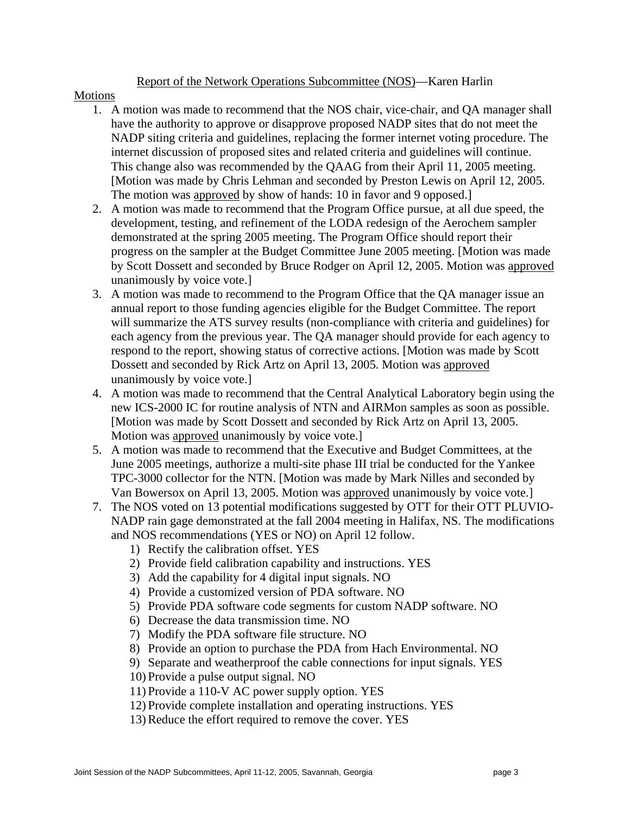# Report of the Network Operations Subcommittee (NOS)—Karen Harlin

### Motions

- 1. A motion was made to recommend that the NOS chair, vice-chair, and QA manager shall have the authority to approve or disapprove proposed NADP sites that do not meet the NADP siting criteria and guidelines, replacing the former internet voting procedure. The internet discussion of proposed sites and related criteria and guidelines will continue. This change also was recommended by the QAAG from their April 11, 2005 meeting. [Motion was made by Chris Lehman and seconded by Preston Lewis on April 12, 2005. The motion was approved by show of hands: 10 in favor and 9 opposed.]
- 2. A motion was made to recommend that the Program Office pursue, at all due speed, the development, testing, and refinement of the LODA redesign of the Aerochem sampler demonstrated at the spring 2005 meeting. The Program Office should report their progress on the sampler at the Budget Committee June 2005 meeting. [Motion was made by Scott Dossett and seconded by Bruce Rodger on April 12, 2005. Motion was approved unanimously by voice vote.]
- 3. A motion was made to recommend to the Program Office that the QA manager issue an annual report to those funding agencies eligible for the Budget Committee. The report will summarize the ATS survey results (non-compliance with criteria and guidelines) for each agency from the previous year. The QA manager should provide for each agency to respond to the report, showing status of corrective actions. [Motion was made by Scott Dossett and seconded by Rick Artz on April 13, 2005. Motion was approved unanimously by voice vote.]
- 4. A motion was made to recommend that the Central Analytical Laboratory begin using the new ICS-2000 IC for routine analysis of NTN and AIRMon samples as soon as possible. [Motion was made by Scott Dossett and seconded by Rick Artz on April 13, 2005. Motion was approved unanimously by voice vote.]
- 5. A motion was made to recommend that the Executive and Budget Committees, at the June 2005 meetings, authorize a multi-site phase III trial be conducted for the Yankee TPC-3000 collector for the NTN. [Motion was made by Mark Nilles and seconded by Van Bowersox on April 13, 2005. Motion was approved unanimously by voice vote.]
- 7. The NOS voted on 13 potential modifications suggested by OTT for their OTT PLUVIO-NADP rain gage demonstrated at the fall 2004 meeting in Halifax, NS. The modifications and NOS recommendations (YES or NO) on April 12 follow.
	- 1) Rectify the calibration offset. YES
	- 2) Provide field calibration capability and instructions. YES
	- 3) Add the capability for 4 digital input signals. NO
	- 4) Provide a customized version of PDA software. NO
	- 5) Provide PDA software code segments for custom NADP software. NO
	- 6) Decrease the data transmission time. NO
	- 7) Modify the PDA software file structure. NO
	- 8) Provide an option to purchase the PDA from Hach Environmental. NO
	- 9) Separate and weatherproof the cable connections for input signals. YES
	- 10) Provide a pulse output signal. NO
	- 11) Provide a 110-V AC power supply option. YES
	- 12) Provide complete installation and operating instructions. YES
	- 13) Reduce the effort required to remove the cover. YES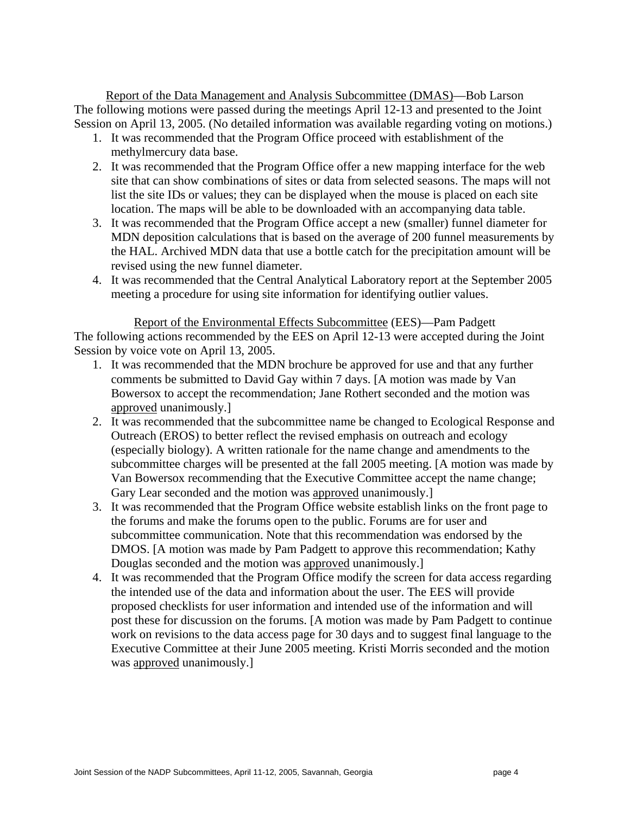Report of the Data Management and Analysis Subcommittee (DMAS)—Bob Larson The following motions were passed during the meetings April 12-13 and presented to the Joint Session on April 13, 2005. (No detailed information was available regarding voting on motions.)

- 1. It was recommended that the Program Office proceed with establishment of the methylmercury data base.
- 2. It was recommended that the Program Office offer a new mapping interface for the web site that can show combinations of sites or data from selected seasons. The maps will not list the site IDs or values; they can be displayed when the mouse is placed on each site location. The maps will be able to be downloaded with an accompanying data table.
- 3. It was recommended that the Program Office accept a new (smaller) funnel diameter for MDN deposition calculations that is based on the average of 200 funnel measurements by the HAL. Archived MDN data that use a bottle catch for the precipitation amount will be revised using the new funnel diameter.
- 4. It was recommended that the Central Analytical Laboratory report at the September 2005 meeting a procedure for using site information for identifying outlier values.

Report of the Environmental Effects Subcommittee (EES)—Pam Padgett The following actions recommended by the EES on April 12-13 were accepted during the Joint Session by voice vote on April 13, 2005.

- 1. It was recommended that the MDN brochure be approved for use and that any further comments be submitted to David Gay within 7 days. [A motion was made by Van Bowersox to accept the recommendation; Jane Rothert seconded and the motion was approved unanimously.]
- 2. It was recommended that the subcommittee name be changed to Ecological Response and Outreach (EROS) to better reflect the revised emphasis on outreach and ecology (especially biology). A written rationale for the name change and amendments to the subcommittee charges will be presented at the fall 2005 meeting. [A motion was made by Van Bowersox recommending that the Executive Committee accept the name change; Gary Lear seconded and the motion was approved unanimously.]
- 3. It was recommended that the Program Office website establish links on the front page to the forums and make the forums open to the public. Forums are for user and subcommittee communication. Note that this recommendation was endorsed by the DMOS. [A motion was made by Pam Padgett to approve this recommendation; Kathy Douglas seconded and the motion was approved unanimously.]
- 4. It was recommended that the Program Office modify the screen for data access regarding the intended use of the data and information about the user. The EES will provide proposed checklists for user information and intended use of the information and will post these for discussion on the forums. [A motion was made by Pam Padgett to continue work on revisions to the data access page for 30 days and to suggest final language to the Executive Committee at their June 2005 meeting. Kristi Morris seconded and the motion was approved unanimously.]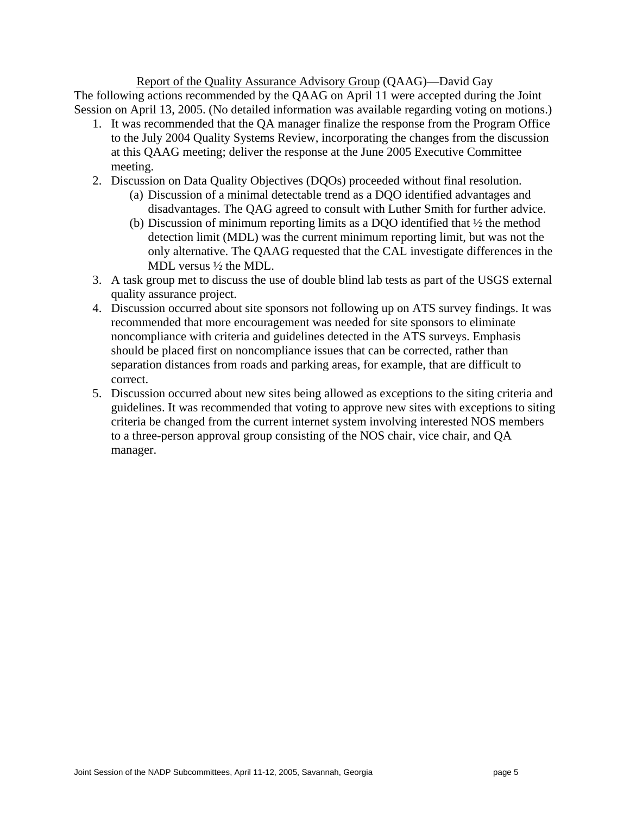Report of the Quality Assurance Advisory Group (QAAG)—David Gay The following actions recommended by the QAAG on April 11 were accepted during the Joint Session on April 13, 2005. (No detailed information was available regarding voting on motions.)

- 1. It was recommended that the QA manager finalize the response from the Program Office to the July 2004 Quality Systems Review, incorporating the changes from the discussion at this QAAG meeting; deliver the response at the June 2005 Executive Committee meeting.
- 2. Discussion on Data Quality Objectives (DQOs) proceeded without final resolution.
	- (a) Discussion of a minimal detectable trend as a DQO identified advantages and disadvantages. The QAG agreed to consult with Luther Smith for further advice.
	- (b) Discussion of minimum reporting limits as a DQO identified that ½ the method detection limit (MDL) was the current minimum reporting limit, but was not the only alternative. The QAAG requested that the CAL investigate differences in the MDL versus ½ the MDL.
- 3. A task group met to discuss the use of double blind lab tests as part of the USGS external quality assurance project.
- 4. Discussion occurred about site sponsors not following up on ATS survey findings. It was recommended that more encouragement was needed for site sponsors to eliminate noncompliance with criteria and guidelines detected in the ATS surveys. Emphasis should be placed first on noncompliance issues that can be corrected, rather than separation distances from roads and parking areas, for example, that are difficult to correct.
- 5. Discussion occurred about new sites being allowed as exceptions to the siting criteria and guidelines. It was recommended that voting to approve new sites with exceptions to siting criteria be changed from the current internet system involving interested NOS members to a three-person approval group consisting of the NOS chair, vice chair, and QA manager.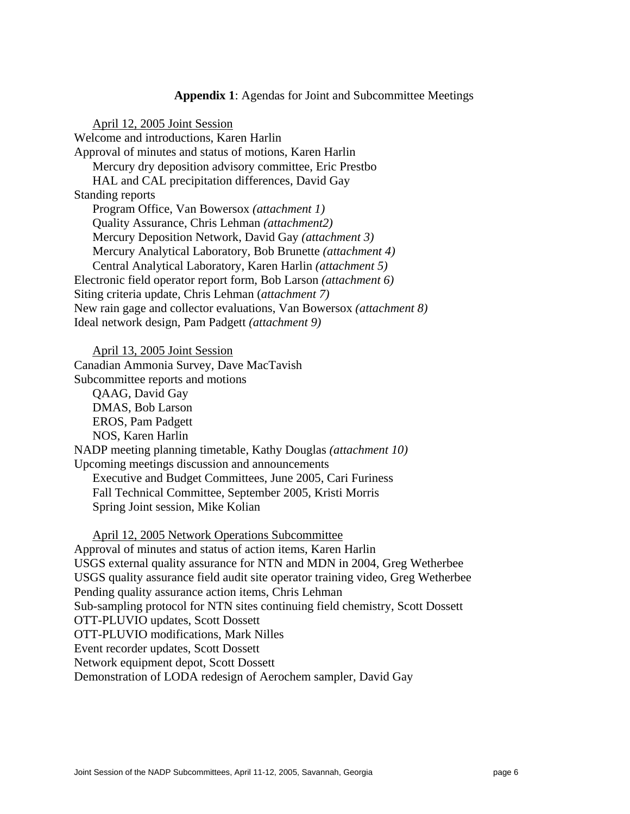#### **Appendix 1**: Agendas for Joint and Subcommittee Meetings

April 12, 2005 Joint Session Welcome and introductions, Karen Harlin Approval of minutes and status of motions, Karen Harlin Mercury dry deposition advisory committee, Eric Prestbo HAL and CAL precipitation differences, David Gay Standing reports Program Office, Van Bowersox *(attachment 1)*  Quality Assurance, Chris Lehman *(attachment2)* Mercury Deposition Network, David Gay *(attachment 3)* Mercury Analytical Laboratory, Bob Brunette *(attachment 4)* Central Analytical Laboratory, Karen Harlin *(attachment 5)* Electronic field operator report form, Bob Larson *(attachment 6)* Siting criteria update, Chris Lehman (*attachment 7)* New rain gage and collector evaluations, Van Bowersox *(attachment 8)* Ideal network design, Pam Padgett *(attachment 9)*

April 13, 2005 Joint Session

Canadian Ammonia Survey, Dave MacTavish

Subcommittee reports and motions

QAAG, David Gay DMAS, Bob Larson EROS, Pam Padgett NOS, Karen Harlin NADP meeting planning timetable, Kathy Douglas *(attachment 10)* Upcoming meetings discussion and announcements Executive and Budget Committees, June 2005, Cari Furiness Fall Technical Committee, September 2005, Kristi Morris Spring Joint session, Mike Kolian

April 12, 2005 Network Operations Subcommittee Approval of minutes and status of action items, Karen Harlin USGS external quality assurance for NTN and MDN in 2004, Greg Wetherbee USGS quality assurance field audit site operator training video, Greg Wetherbee Pending quality assurance action items, Chris Lehman Sub-sampling protocol for NTN sites continuing field chemistry, Scott Dossett OTT-PLUVIO updates, Scott Dossett OTT-PLUVIO modifications, Mark Nilles Event recorder updates, Scott Dossett Network equipment depot, Scott Dossett Demonstration of LODA redesign of Aerochem sampler, David Gay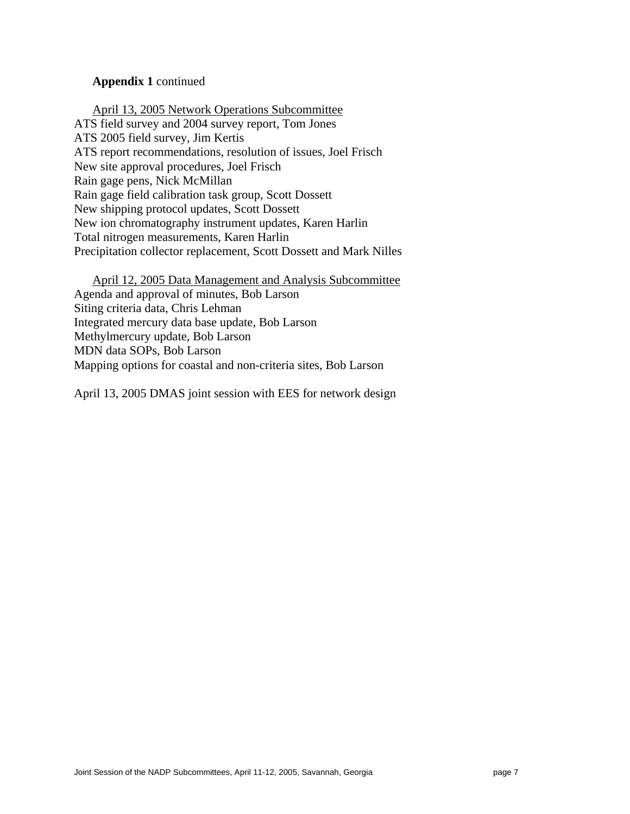### **Appendix 1** continued

April 13, 2005 Network Operations Subcommittee ATS field survey and 2004 survey report, Tom Jones ATS 2005 field survey, Jim Kertis ATS report recommendations, resolution of issues, Joel Frisch New site approval procedures, Joel Frisch Rain gage pens, Nick McMillan Rain gage field calibration task group, Scott Dossett New shipping protocol updates, Scott Dossett New ion chromatography instrument updates, Karen Harlin Total nitrogen measurements, Karen Harlin Precipitation collector replacement, Scott Dossett and Mark Nilles

April 12, 2005 Data Management and Analysis Subcommittee Agenda and approval of minutes, Bob Larson Siting criteria data, Chris Lehman Integrated mercury data base update, Bob Larson Methylmercury update, Bob Larson MDN data SOPs, Bob Larson Mapping options for coastal and non-criteria sites, Bob Larson

April 13, 2005 DMAS joint session with EES for network design